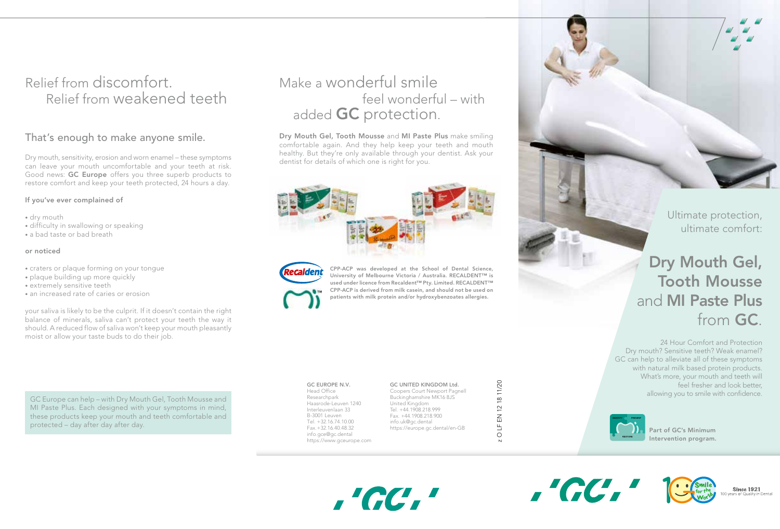## Relief from discomfort. Relief from weakened teeth

## That's enough to make anyone smile.

Dry mouth, sensitivity, erosion and worn enamel – these symptoms can leave your mouth uncomfortable and your teeth at risk. Good news: **GC Europe** offers you three superb products to restore comfort and keep your teeth protected, 24 hours a day.

## If you've ever complained of

- dry mouth
- difficulty in swallowing or speaking
- a bad taste or bad breath

## or noticed

- craters or plaque forming on your tongue
- plaque building up more quickly
- extremely sensitive teeth
- an increased rate of caries or erosion

your saliva is likely to be the culprit. If it doesn't contain the right balance of minerals, saliva can't protect your teeth the way it should. A reduced flow of saliva won't keep your mouth pleasantly moist or allow your taste buds to do their job.

GC EUROPE N.V. GC UNITED KINGDOM Ltd.<br>
GC EUROPE N.V. GC UNITED KINGDOM Ltd.<br>
GC EUROPE Coopers Court Newport Pagnel<br>
Bead Office Coopers Court Newport Pagnel<br>
Bead Office Coopers Court Newport Pagnel<br>
Bead Office Coopers MI Paste Plus. Each designed with your symptoms in mind, these products keep your mouth and teeth comfortable and protected – day after day after day.

## Make a wonderful smile feel wonderful – with added **GC** protection.

Dry Mouth Gel, Tooth Mousse and MI Paste Plus make smiling comfortable again. And they help keep your teeth and mouth healthy. But they're only available through your dentist. Ask your dentist for details of which one is right for you.



,'GC,'



CPP-ACP was developed at the School of Dental Science, University of Melbourne Victoria / Australia. RECALDENT™ is used under licence from Recaldent™ Pty. Limited. RECALDENT™ CPP-ACP is derived from milk casein, and should not be used on patients with milk protein and/or hydroxybenzoates allergies.

#### GC EUROPE N.V. Head Office

Researchpark Haasrode-Leuven 1240 Interleuvenlaan 33 B-3001 Leuven Tel. +32.16.74.10.00 Fax.+32.16.40.48.32 info.gce@gc.dental https://www.gceurope.com GC UNITED KINGDOM Ltd. Coopers Court Newport Pagnell Buckinghamshire MK16 8JS United Kingdom Tel. +44.1908.218.999 Fax. +44.1908.218.900 info.uk@gc.dental https://europe.gc.dental/en-GB

z O LF EN 12 18 11/20 .<br>品  $\mathsf{L}_{\mathsf{L}}$  $\bigcirc$  $\overline{N}$ 

Ultimate protection, ultimate comfort:

# Dry Mouth Gel, Tooth Mousse and MI Paste Plus from GC.

24 Hour Comfort and Protection Dry mouth? Sensitive teeth? Weak enamel? GC can help to alleviate all of these symptoms with natural milk based protein products. What's more, your mouth and teeth will feel fresher and look better,



. CC.



**Since 1921**